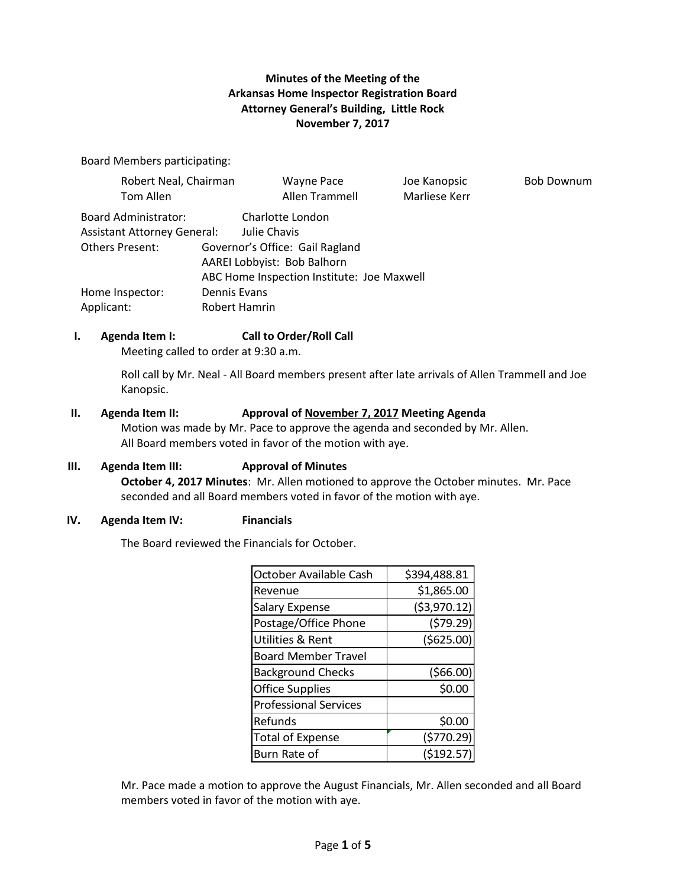### **Minutes of the Meeting of the Arkansas Home Inspector Registration Board Attorney General's Building, Little Rock November 7, 2017**

**Bob Downum** 

Board Members participating:

| Robert Neal, Chairman              |                                                                           | <b>Wayne Pace</b>               | Joe Kanopsic  |
|------------------------------------|---------------------------------------------------------------------------|---------------------------------|---------------|
| Tom Allen                          |                                                                           | Allen Trammell                  | Marliese Kerr |
| <b>Board Administrator:</b>        |                                                                           | Charlotte London                |               |
| <b>Assistant Attorney General:</b> |                                                                           | Julie Chavis                    |               |
| <b>Others Present:</b>             |                                                                           | Governor's Office: Gail Ragland |               |
|                                    | AAREI Lobbyist: Bob Balhorn<br>ABC Home Inspection Institute: Joe Maxwell |                                 |               |
|                                    |                                                                           |                                 |               |
| Home Inspector:                    | Dennis Evans                                                              |                                 |               |
| Applicant:                         | Robert Hamrin                                                             |                                 |               |

### **I. Agenda Item I: Call to Order/Roll Call**

Meeting called to order at 9:30 a.m.

Roll call by Mr. Neal - All Board members present after late arrivals of Allen Trammell and Joe Kanopsic.

#### **II. Agenda Item II: Approval of November 7, 2017 Meeting Agenda**

Motion was made by Mr. Pace to approve the agenda and seconded by Mr. Allen. All Board members voted in favor of the motion with aye.

#### **III. Agenda Item III: Approval of Minutes**

**October 4, 2017 Minutes**: Mr. Allen motioned to approve the October minutes. Mr. Pace seconded and all Board members voted in favor of the motion with aye.

#### **IV. Agenda Item IV: Financials**

The Board reviewed the Financials for October.

| October Available Cash       | \$394,488.81  |
|------------------------------|---------------|
| Revenue                      | \$1,865.00    |
| <b>Salary Expense</b>        | ( \$3,970.12) |
| Postage/Office Phone         | (579.29)      |
| <b>Utilities &amp; Rent</b>  | ( \$625.00)   |
| <b>Board Member Travel</b>   |               |
| <b>Background Checks</b>     | (566.00)      |
| <b>Office Supplies</b>       | \$0.00        |
| <b>Professional Services</b> |               |
| Refunds                      | \$0.00        |
| <b>Total of Expense</b>      | (5770.29)     |
| Burn Rate of                 | ( \$192.57    |

Mr. Pace made a motion to approve the August Financials, Mr. Allen seconded and all Board members voted in favor of the motion with aye.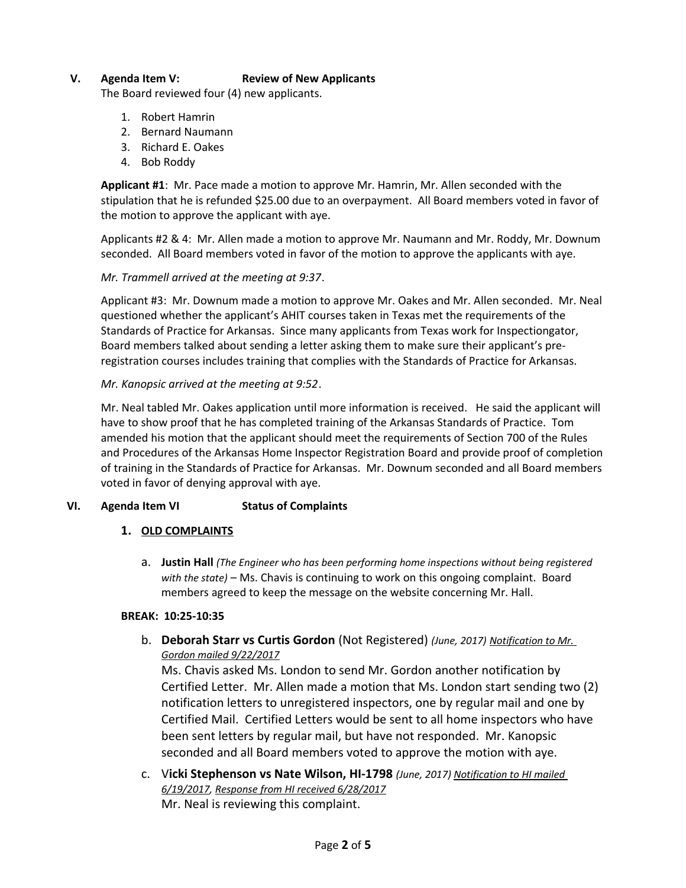### **V. Agenda Item V: Review of New Applicants**

The Board reviewed four (4) new applicants.

- 1. Robert Hamrin
- 2. Bernard Naumann
- 3. Richard E. Oakes
- 4. Bob Roddy

**Applicant #1**: Mr. Pace made a motion to approve Mr. Hamrin, Mr. Allen seconded with the stipulation that he is refunded \$25.00 due to an overpayment. All Board members voted in favor of the motion to approve the applicant with aye.

Applicants #2 & 4: Mr. Allen made a motion to approve Mr. Naumann and Mr. Roddy, Mr. Downum seconded. All Board members voted in favor of the motion to approve the applicants with aye.

#### *Mr. Trammell arrived at the meeting at 9:37*.

Applicant #3: Mr. Downum made a motion to approve Mr. Oakes and Mr. Allen seconded. Mr. Neal questioned whether the applicant's AHIT courses taken in Texas met the requirements of the Standards of Practice for Arkansas. Since many applicants from Texas work for Inspectiongator, Board members talked about sending a letter asking them to make sure their applicant's preregistration courses includes training that complies with the Standards of Practice for Arkansas.

#### *Mr. Kanopsic arrived at the meeting at 9:52*.

Mr. Neal tabled Mr. Oakes application until more information is received. He said the applicant will have to show proof that he has completed training of the Arkansas Standards of Practice. Tom amended his motion that the applicant should meet the requirements of Section 700 of the Rules and Procedures of the Arkansas Home Inspector Registration Board and provide proof of completion of training in the Standards of Practice for Arkansas. Mr. Downum seconded and all Board members voted in favor of denying approval with aye.

### **VI. Agenda Item VI Status of Complaints**

#### **1. OLD COMPLAINTS**

a. **Justin Hall** *(The Engineer who has been performing home inspections without being registered with the state)* – Ms. Chavis is continuing to work on this ongoing complaint. Board members agreed to keep the message on the website concerning Mr. Hall.

#### **BREAK: 10:25-10:35**

b. **Deborah Starr vs Curtis Gordon** (Not Registered) *(June, 2017) Notification to Mr. Gordon mailed 9/22/2017*

Ms. Chavis asked Ms. London to send Mr. Gordon another notification by Certified Letter. Mr. Allen made a motion that Ms. London start sending two (2) notification letters to unregistered inspectors, one by regular mail and one by Certified Mail. Certified Letters would be sent to all home inspectors who have been sent letters by regular mail, but have not responded. Mr. Kanopsic seconded and all Board members voted to approve the motion with aye.

c. V**icki Stephenson vs Nate Wilson, HI-1798** *(June, 2017) Notification to HI mailed 6/19/2017, Response from HI received 6/28/2017* Mr. Neal is reviewing this complaint.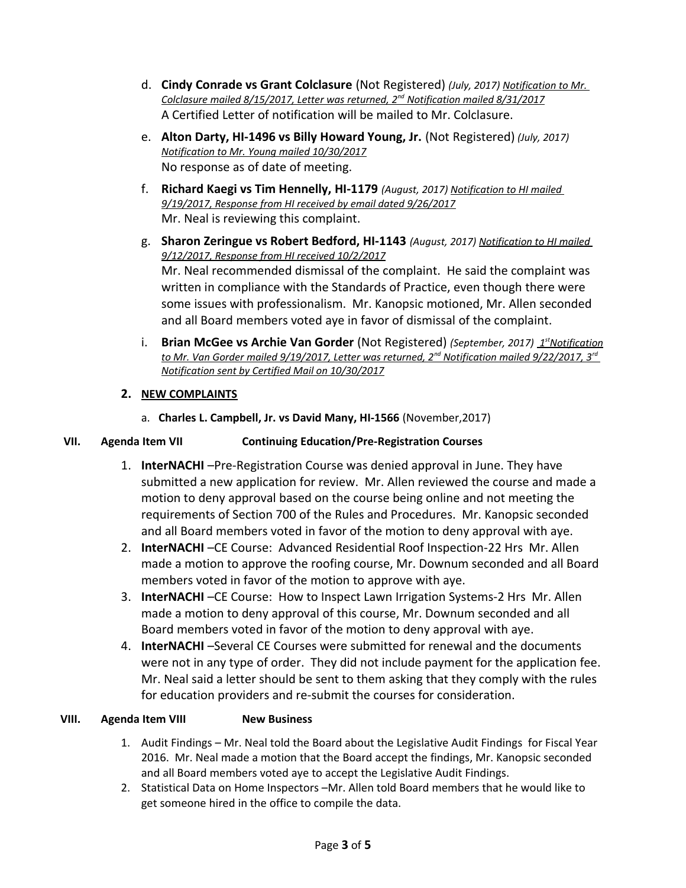- d. **Cindy Conrade vs Grant Colclasure** (Not Registered) *(July, 2017) Notification to Mr. Colclasure mailed 8/15/2017, Letter was returned, 2nd Notification mailed 8/31/2017* A Certified Letter of notification will be mailed to Mr. Colclasure.
- e. **Alton Darty, HI-1496 vs Billy Howard Young, Jr.** (Not Registered) *(July, 2017) Notification to Mr. Young mailed 10/30/2017* No response as of date of meeting.
- f. **Richard Kaegi vs Tim Hennelly, HI-1179** *(August, 2017) Notification to HI mailed 9/19/2017, Response from HI received by email dated 9/26/2017* Mr. Neal is reviewing this complaint.
- g. **Sharon Zeringue vs Robert Bedford, HI-1143** *(August, 2017) Notification to HI mailed 9/12/2017, Response from HI received 10/2/2017* Mr. Neal recommended dismissal of the complaint. He said the complaint was written in compliance with the Standards of Practice, even though there were some issues with professionalism. Mr. Kanopsic motioned, Mr. Allen seconded and all Board members voted aye in favor of dismissal of the complaint.
- i. **Brian McGee vs Archie Van Gorder** (Not Registered) *(September, 2017)* 1<sup>st</sup> Notification  *to Mr. Van Gorder mailed 9/19/2017, Letter was returned, 2nd Notification mailed 9/22/2017, 3rd Notification sent by Certified Mail on 10/30/2017*

# **2. NEW COMPLAINTS**

a. **Charles L. Campbell, Jr. vs David Many, HI-1566** (November,2017)

# **VII. Agenda Item VII Continuing Education/Pre-Registration Courses**

- 1. **InterNACHI** –Pre-Registration Course was denied approval in June. They have submitted a new application for review. Mr. Allen reviewed the course and made a motion to deny approval based on the course being online and not meeting the requirements of Section 700 of the Rules and Procedures. Mr. Kanopsic seconded and all Board members voted in favor of the motion to deny approval with aye.
- 2. **InterNACHI** –CE Course: Advanced Residential Roof Inspection-22 Hrs Mr. Allen made a motion to approve the roofing course, Mr. Downum seconded and all Board members voted in favor of the motion to approve with aye.
- 3. **InterNACHI** –CE Course: How to Inspect Lawn Irrigation Systems-2 Hrs Mr. Allen made a motion to deny approval of this course, Mr. Downum seconded and all Board members voted in favor of the motion to deny approval with aye.
- 4. **InterNACHI** –Several CE Courses were submitted for renewal and the documents were not in any type of order. They did not include payment for the application fee. Mr. Neal said a letter should be sent to them asking that they comply with the rules for education providers and re-submit the courses for consideration.

# **VIII. Agenda Item VIII New Business**

- 1. Audit Findings Mr. Neal told the Board about the Legislative Audit Findings for Fiscal Year 2016. Mr. Neal made a motion that the Board accept the findings, Mr. Kanopsic seconded and all Board members voted aye to accept the Legislative Audit Findings.
- 2. Statistical Data on Home Inspectors –Mr. Allen told Board members that he would like to get someone hired in the office to compile the data.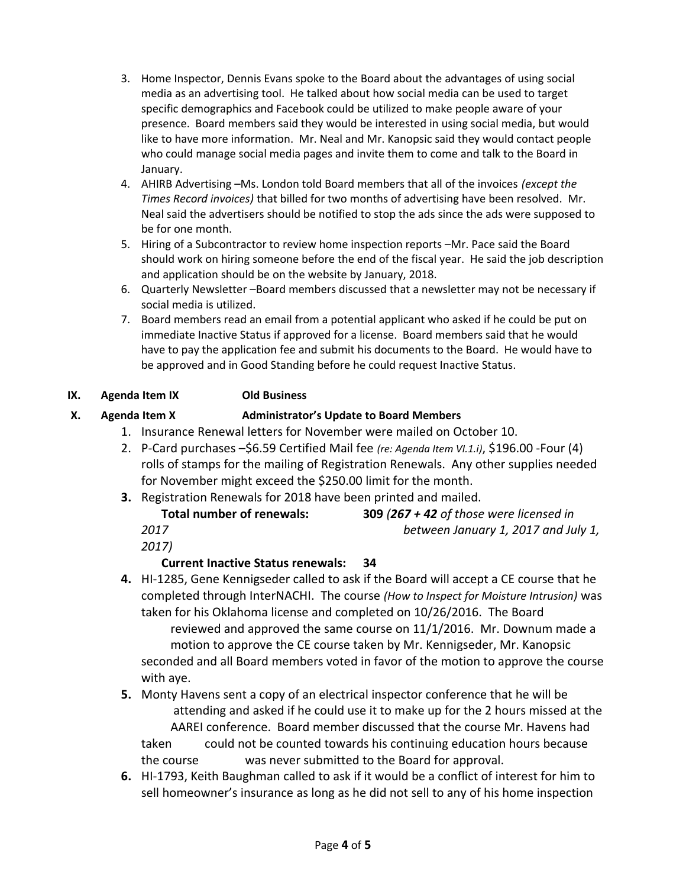- 3. Home Inspector, Dennis Evans spoke to the Board about the advantages of using social media as an advertising tool. He talked about how social media can be used to target specific demographics and Facebook could be utilized to make people aware of your presence. Board members said they would be interested in using social media, but would like to have more information. Mr. Neal and Mr. Kanopsic said they would contact people who could manage social media pages and invite them to come and talk to the Board in January.
- 4. AHIRB Advertising –Ms. London told Board members that all of the invoices *(except the Times Record invoices)* that billed for two months of advertising have been resolved. Mr. Neal said the advertisers should be notified to stop the ads since the ads were supposed to be for one month.
- 5. Hiring of a Subcontractor to review home inspection reports –Mr. Pace said the Board should work on hiring someone before the end of the fiscal year. He said the job description and application should be on the website by January, 2018.
- 6. Quarterly Newsletter –Board members discussed that a newsletter may not be necessary if social media is utilized.
- 7. Board members read an email from a potential applicant who asked if he could be put on immediate Inactive Status if approved for a license. Board members said that he would have to pay the application fee and submit his documents to the Board. He would have to be approved and in Good Standing before he could request Inactive Status.

# **IX. Agenda Item IX Old Business**

# **X. Agenda Item X Administrator's Update to Board Members**

- 1. Insurance Renewal letters for November were mailed on October 10.
- 2. P-Card purchases –\$6.59 Certified Mail fee *(re: Agenda Item VI.1.i)*, \$196.00 -Four (4) rolls of stamps for the mailing of Registration Renewals. Any other supplies needed for November might exceed the \$250.00 limit for the month.
- **3.** Registration Renewals for 2018 have been printed and mailed. **Total number of renewals: 309** *(267 + 42 of those were licensed in*

*2017 between January 1, 2017 and July 1,* 

*2017)*

# **Current Inactive Status renewals: 34**

- **4.** HI-1285, Gene Kennigseder called to ask if the Board will accept a CE course that he completed through InterNACHI. The course *(How to Inspect for Moisture Intrusion)* was taken for his Oklahoma license and completed on 10/26/2016. The Board reviewed and approved the same course on 11/1/2016. Mr. Downum made a motion to approve the CE course taken by Mr. Kennigseder, Mr. Kanopsic seconded and all Board members voted in favor of the motion to approve the course with aye.
- **5.** Monty Havens sent a copy of an electrical inspector conference that he will be attending and asked if he could use it to make up for the 2 hours missed at the AAREI conference. Board member discussed that the course Mr. Havens had taken could not be counted towards his continuing education hours because the course was never submitted to the Board for approval.
- **6.** HI-1793, Keith Baughman called to ask if it would be a conflict of interest for him to sell homeowner's insurance as long as he did not sell to any of his home inspection